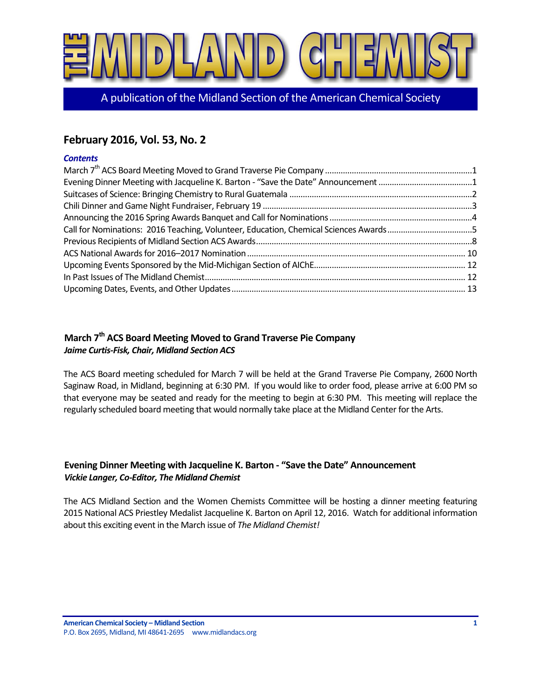

A publication of the Midland Section of the American Chemical Society

# **February 2016, Vol. 53, No. 2**

### *Contents*

| Evening Dinner Meeting with Jacqueline K. Barton - "Save the Date" Announcement 1    |  |
|--------------------------------------------------------------------------------------|--|
|                                                                                      |  |
|                                                                                      |  |
|                                                                                      |  |
| Call for Nominations: 2016 Teaching, Volunteer, Education, Chemical Sciences Awards5 |  |
|                                                                                      |  |
|                                                                                      |  |
|                                                                                      |  |
|                                                                                      |  |
|                                                                                      |  |

# <span id="page-0-0"></span>**March 7th ACS Board Meeting Moved to Grand Traverse Pie Company** *Jaime Curtis-Fisk, Chair, Midland Section ACS*

The ACS Board meeting scheduled for March 7 will be held at the Grand Traverse Pie Company, 2600 North Saginaw Road, in Midland, beginning at 6:30 PM. If you would like to order food, please arrive at 6:00 PM so that everyone may be seated and ready for the meeting to begin at 6:30 PM. This meeting will replace the regularly scheduled board meeting that would normally take place at the Midland Center for the Arts.

# <span id="page-0-1"></span>**Evening Dinner Meeting with Jacqueline K. Barton - "Save the Date" Announcement** *Vickie Langer, Co-Editor, The Midland Chemist*

The ACS Midland Section and the Women Chemists Committee will be hosting a dinner meeting featuring 2015 National ACS Priestley Medalist Jacqueline K. Barton on April 12, 2016. Watch for additional information about this exciting event in the March issue of *The Midland Chemist!*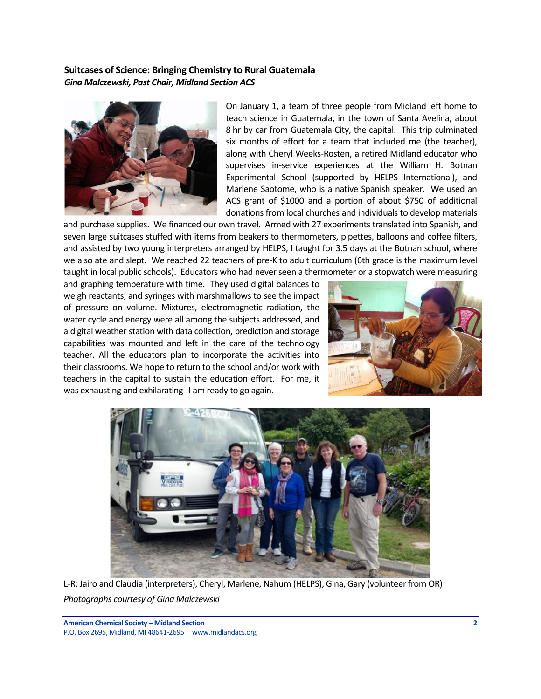### <span id="page-1-0"></span>**Suitcases of Science: Bringing Chemistry to Rural Guatemala** *Gina Malczewski, Past Chair, Midland Section ACS*



On January 1, a team of three people from Midland left home to teach science in Guatemala, in the town of Santa Avelina, about 8 hr by car from Guatemala City, the capital. This trip culminated six months of effort for a team that included me (the teacher), along with Cheryl Weeks-Rosten, a retired Midland educator who supervises in-service experiences at the William H. Botnan Experimental School (supported by HELPS International), and Marlene Saotome, who is a native Spanish speaker. We used an ACS grant of \$1000 and a portion of about \$750 of additional donations from local churches and individuals to develop materials

and purchase supplies. We financed our own travel. Armed with 27 experiments translated into Spanish, and seven large suitcases stuffed with items from beakers to thermometers, pipettes, balloons and coffee filters, and assisted by two young interpreters arranged by HELPS, I taught for 3.5 days at the Botnan school, where we also ate and slept. We reached 22 teachers of pre-K to adult curriculum (6th grade is the maximum level taught in local public schools). Educators who had never seen a thermometer or a stopwatch were measuring

and graphing temperature with time. They used digital balances to weigh reactants, and syringes with marshmallows to see the impact of pressure on volume. Mixtures, electromagnetic radiation, the water cycle and energy were all among the subjects addressed, and a digital weather station with data collection, prediction and storage capabilities was mounted and left in the care of the technology teacher. All the educators plan to incorporate the activities into their classrooms. We hope to return to the school and/or work with teachers in the capital to sustain the education effort. For me, it was exhausting and exhilarating--I am ready to go again.





L-R: Jairo and Claudia (interpreters), Cheryl, Marlene, Nahum (HELPS), Gina, Gary (volunteer from OR) *Photographs courtesy of Gina Malczewski*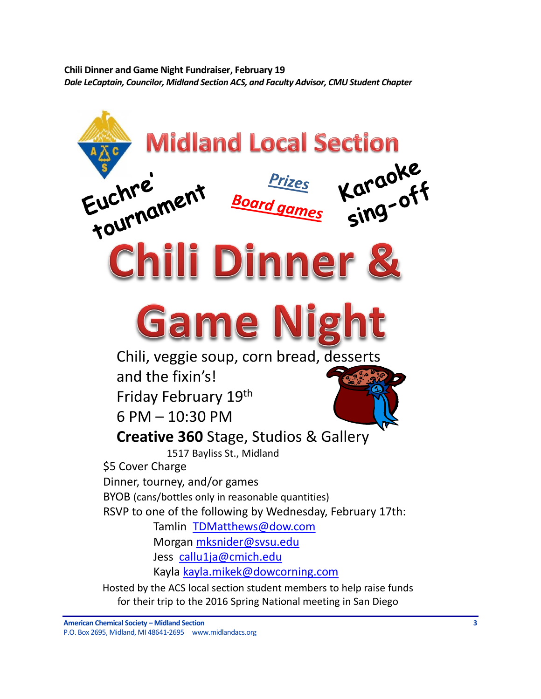<span id="page-2-0"></span>**Chili Dinner and Game Night Fundraiser, February 19** *Dale LeCaptain, Councilor, Midland Section ACS, and Faculty Advisor, CMU Student Chapter*

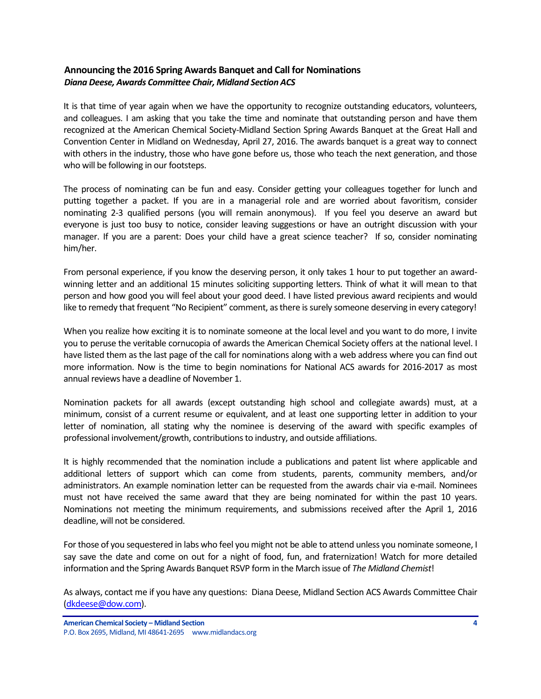# <span id="page-3-0"></span>**Announcing the 2016 Spring Awards Banquet and Call for Nominations** *Diana Deese, Awards Committee Chair, Midland Section ACS*

It is that time of year again when we have the opportunity to recognize outstanding educators, volunteers, and colleagues. I am asking that you take the time and nominate that outstanding person and have them recognized at the American Chemical Society-Midland Section Spring Awards Banquet at the Great Hall and Convention Center in Midland on Wednesday, April 27, 2016. The awards banquet is a great way to connect with others in the industry, those who have gone before us, those who teach the next generation, and those who will be following in our footsteps.

The process of nominating can be fun and easy. Consider getting your colleagues together for lunch and putting together a packet. If you are in a managerial role and are worried about favoritism, consider nominating 2-3 qualified persons (you will remain anonymous). If you feel you deserve an award but everyone is just too busy to notice, consider leaving suggestions or have an outright discussion with your manager. If you are a parent: Does your child have a great science teacher? If so, consider nominating him/her.

From personal experience, if you know the deserving person, it only takes 1 hour to put together an awardwinning letter and an additional 15 minutes soliciting supporting letters. Think of what it will mean to that person and how good you will feel about your good deed. I have listed previous award recipients and would like to remedy that frequent "No Recipient" comment, as there is surely someone deserving in every category!

When you realize how exciting it is to nominate someone at the local level and you want to do more, I invite you to peruse the veritable cornucopia of awards the American Chemical Society offers at the national level. I have listed them as the last page of the call for nominations along with a web address where you can find out more information. Now is the time to begin nominations for National ACS awards for 2016-2017 as most annual reviews have a deadline of November 1.

Nomination packets for all awards (except outstanding high school and collegiate awards) must, at a minimum, consist of a current resume or equivalent, and at least one supporting letter in addition to your letter of nomination, all stating why the nominee is deserving of the award with specific examples of professional involvement/growth, contributions to industry, and outside affiliations.

It is highly recommended that the nomination include a publications and patent list where applicable and additional letters of support which can come from students, parents, community members, and/or administrators. An example nomination letter can be requested from the awards chair via e-mail. Nominees must not have received the same award that they are being nominated for within the past 10 years. Nominations not meeting the minimum requirements, and submissions received after the April 1, 2016 deadline, will not be considered.

For those of you sequestered in labs who feel you might not be able to attend unless you nominate someone, I say save the date and come on out for a night of food, fun, and fraternization! Watch for more detailed information and the Spring Awards Banquet RSVP form in the March issue of *The Midland Chemist*!

As always, contact me if you have any questions: Diana Deese, Midland Section ACS Awards Committee Chair [\(dkdeese@dow.com\)](mailto:dkdeese@dow.com).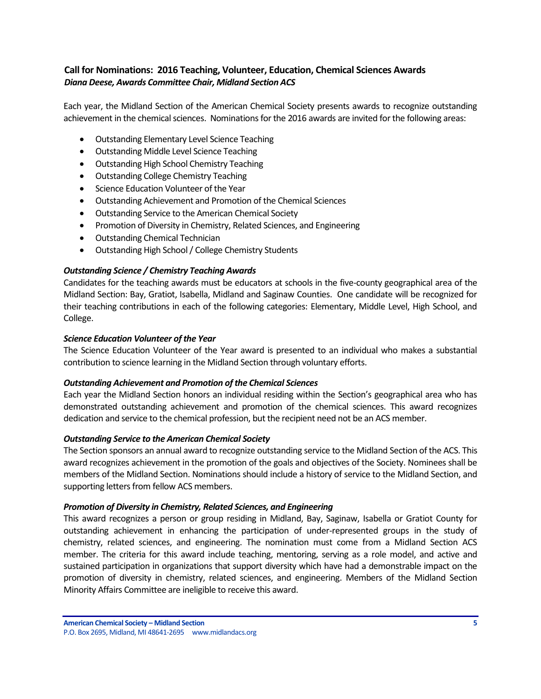# <span id="page-4-0"></span>**Call for Nominations: 2016 Teaching, Volunteer, Education, Chemical Sciences Awards** *Diana Deese, Awards Committee Chair, Midland Section ACS*

Each year, the Midland Section of the American Chemical Society presents awards to recognize outstanding achievement in the chemical sciences. Nominations for the 2016 awards are invited for the following areas:

- Outstanding Elementary Level Science Teaching
- Outstanding Middle Level Science Teaching
- Outstanding High School Chemistry Teaching
- Outstanding College Chemistry Teaching
- **•** Science Education Volunteer of the Year
- Outstanding Achievement and Promotion of the Chemical Sciences
- Outstanding Service to the American Chemical Society
- Promotion of Diversity in Chemistry, Related Sciences, and Engineering
- Outstanding Chemical Technician
- Outstanding High School / College Chemistry Students

### *Outstanding Science / Chemistry Teaching Awards*

Candidates for the teaching awards must be educators at schools in the five-county geographical area of the Midland Section: Bay, Gratiot, Isabella, Midland and Saginaw Counties. One candidate will be recognized for their teaching contributions in each of the following categories: Elementary, Middle Level, High School, and College.

### *Science Education Volunteer of the Year*

The Science Education Volunteer of the Year award is presented to an individual who makes a substantial contribution to science learning in the Midland Section through voluntary efforts.

### *Outstanding Achievement and Promotion of the Chemical Sciences*

Each year the Midland Section honors an individual residing within the Section's geographical area who has demonstrated outstanding achievement and promotion of the chemical sciences. This award recognizes dedication and service to the chemical profession, but the recipient need not be an ACS member.

### *Outstanding Service to the American Chemical Society*

The Section sponsors an annual award to recognize outstanding service to the Midland Section of the ACS. This award recognizes achievement in the promotion of the goals and objectives of the Society. Nominees shall be members of the Midland Section. Nominations should include a history of service to the Midland Section, and supporting letters from fellow ACS members.

### *Promotion of Diversity in Chemistry, Related Sciences, and Engineering*

This award recognizes a person or group residing in Midland, Bay, Saginaw, Isabella or Gratiot County for outstanding achievement in enhancing the participation of under-represented groups in the study of chemistry, related sciences, and engineering. The nomination must come from a Midland Section ACS member. The criteria for this award include teaching, mentoring, serving as a role model, and active and sustained participation in organizations that support diversity which have had a demonstrable impact on the promotion of diversity in chemistry, related sciences, and engineering. Members of the Midland Section Minority Affairs Committee are ineligible to receive this award.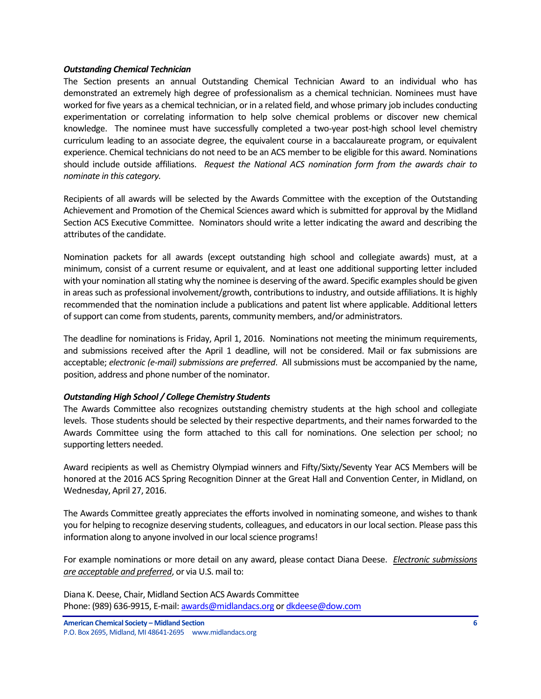### *Outstanding Chemical Technician*

The Section presents an annual Outstanding Chemical Technician Award to an individual who has demonstrated an extremely high degree of professionalism as a chemical technician. Nominees must have worked for five years as a chemical technician, or in a related field, and whose primary job includes conducting experimentation or correlating information to help solve chemical problems or discover new chemical knowledge. The nominee must have successfully completed a two-year post-high school level chemistry curriculum leading to an associate degree, the equivalent course in a baccalaureate program, or equivalent experience. Chemical technicians do not need to be an ACS member to be eligible for this award. Nominations should include outside affiliations. *Request the National ACS nomination form from the awards chair to nominate in this category.* 

Recipients of all awards will be selected by the Awards Committee with the exception of the Outstanding Achievement and Promotion of the Chemical Sciences award which is submitted for approval by the Midland Section ACS Executive Committee. Nominators should write a letter indicating the award and describing the attributes of the candidate.

Nomination packets for all awards (except outstanding high school and collegiate awards) must, at a minimum, consist of a current resume or equivalent, and at least one additional supporting letter included with your nomination all stating why the nominee is deserving of the award. Specific examples should be given in areas such as professional involvement/growth, contributions to industry, and outside affiliations. It is highly recommended that the nomination include a publications and patent list where applicable. Additional letters of support can come from students, parents, community members, and/or administrators.

The deadline for nominations is Friday, April 1, 2016. Nominations not meeting the minimum requirements, and submissions received after the April 1 deadline, will not be considered. Mail or fax submissions are acceptable; *electronic (e-mail) submissions are preferred*. All submissions must be accompanied by the name, position, address and phone number of the nominator.

### *Outstanding High School / College Chemistry Students*

The Awards Committee also recognizes outstanding chemistry students at the high school and collegiate levels. Those students should be selected by their respective departments, and their names forwarded to the Awards Committee using the form attached to this call for nominations. One selection per school; no supporting letters needed.

Award recipients as well as Chemistry Olympiad winners and Fifty/Sixty/Seventy Year ACS Members will be honored at the 2016 ACS Spring Recognition Dinner at the Great Hall and Convention Center, in Midland, on Wednesday, April 27, 2016.

The Awards Committee greatly appreciates the efforts involved in nominating someone, and wishes to thank you for helping to recognize deserving students, colleagues, and educators in our local section. Please pass this information along to anyone involved in our local science programs!

For example nominations or more detail on any award, please contact Diana Deese. *Electronic submissions are acceptable and preferred*, or via U.S. mail to:

Diana K. Deese, Chair, Midland Section ACS Awards Committee Phone: (989) 636-9915, E-mail[: awards@midlandacs.org](mailto:awards@midlandacs.org) or [dkdeese@dow.com](mailto:dkdeese@dow.com)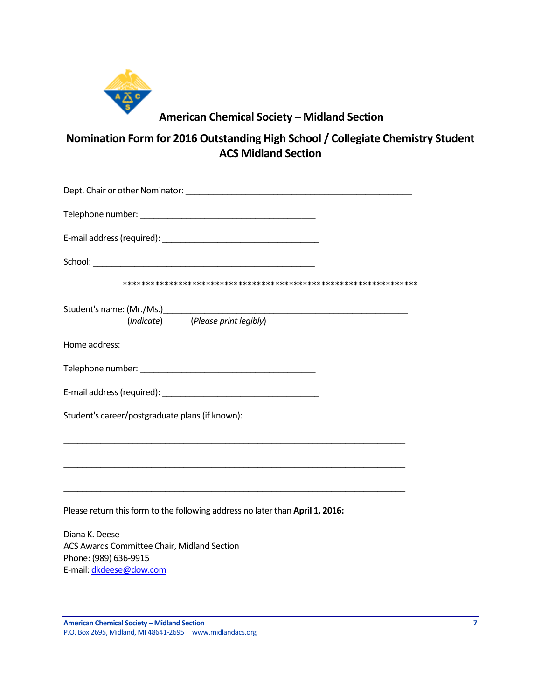

# **American Chemical Society – Midland Section**

**Nomination Form for 2016 Outstanding High School / Collegiate Chemistry Student ACS Midland Section**

| (Indicate) (Please print legibly)                                                                                                            |
|----------------------------------------------------------------------------------------------------------------------------------------------|
|                                                                                                                                              |
|                                                                                                                                              |
|                                                                                                                                              |
| Student's career/postgraduate plans (if known):                                                                                              |
|                                                                                                                                              |
| <u> 1989 - Johann Stoff, amerikansk politiker (d. 1989)</u><br>Please return this form to the following address no later than April 1, 2016: |
| Diana K. Deese                                                                                                                               |
| ACS Awards Committee Chair, Midland Section<br>Phone: (989) 636-9915                                                                         |

Phone: (989) 636-9915 E-mail[: dkdeese@dow.com](mailto:dkdeese@dow.com)

**American Chemical Society – Midland Section 7** P.O. Box 2695, Midland, MI 48641-2695 www.midlandacs.org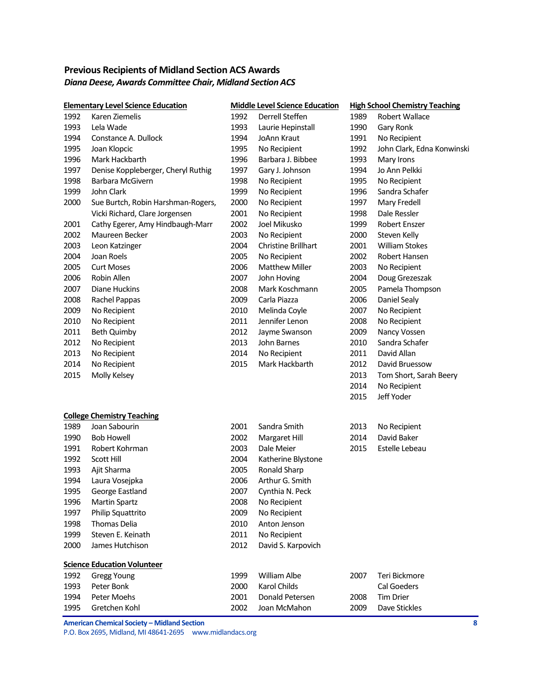# <span id="page-7-0"></span>**Previous Recipients of Midland Section ACS Awards** *Diana Deese, Awards Committee Chair, Midland Section ACS*

|      | <b>Elementary Level Science Education</b> |      | <b>Middle Level Science Education</b> |      | <b>High School Chemistry Teaching</b> |  |
|------|-------------------------------------------|------|---------------------------------------|------|---------------------------------------|--|
| 1992 | Karen Ziemelis                            | 1992 | Derrell Steffen                       | 1989 | <b>Robert Wallace</b>                 |  |
| 1993 | Lela Wade                                 | 1993 | Laurie Hepinstall                     | 1990 | Gary Ronk                             |  |
| 1994 | Constance A. Dullock                      | 1994 | JoAnn Kraut                           | 1991 | No Recipient                          |  |
| 1995 | Joan Klopcic                              | 1995 | No Recipient                          | 1992 | John Clark, Edna Konwinski            |  |
| 1996 | Mark Hackbarth                            | 1996 | Barbara J. Bibbee                     | 1993 | Mary Irons                            |  |
| 1997 | Denise Koppleberger, Cheryl Ruthig        | 1997 | Gary J. Johnson                       | 1994 | Jo Ann Pelkki                         |  |
| 1998 | Barbara McGivern                          | 1998 | No Recipient                          | 1995 | No Recipient                          |  |
| 1999 | John Clark                                | 1999 | No Recipient                          | 1996 | Sandra Schafer                        |  |
| 2000 | Sue Burtch, Robin Harshman-Rogers,        | 2000 | No Recipient                          | 1997 | Mary Fredell                          |  |
|      | Vicki Richard, Clare Jorgensen            | 2001 | No Recipient                          | 1998 | Dale Ressler                          |  |
| 2001 | Cathy Egerer, Amy Hindbaugh-Marr          | 2002 | Joel Mikusko                          | 1999 | <b>Robert Enszer</b>                  |  |
| 2002 | Maureen Becker                            | 2003 | No Recipient                          | 2000 | Steven Kelly                          |  |
| 2003 | Leon Katzinger                            | 2004 | Christine Brillhart                   | 2001 | <b>William Stokes</b>                 |  |
| 2004 | Joan Roels                                | 2005 | No Recipient                          | 2002 | Robert Hansen                         |  |
| 2005 | <b>Curt Moses</b>                         | 2006 | <b>Matthew Miller</b>                 | 2003 | No Recipient                          |  |
| 2006 | Robin Allen                               | 2007 | John Hoving                           | 2004 | Doug Grezeszak                        |  |
| 2007 | Diane Huckins                             | 2008 | Mark Koschmann                        | 2005 | Pamela Thompson                       |  |
| 2008 | Rachel Pappas                             | 2009 | Carla Piazza                          | 2006 | Daniel Sealy                          |  |
| 2009 | No Recipient                              | 2010 | Melinda Coyle                         | 2007 | No Recipient                          |  |
| 2010 | No Recipient                              | 2011 | Jennifer Lenon                        | 2008 | No Recipient                          |  |
| 2011 | Beth Quimby                               | 2012 | Jayme Swanson                         | 2009 | Nancy Vossen                          |  |
| 2012 | No Recipient                              | 2013 | John Barnes                           | 2010 | Sandra Schafer                        |  |
| 2013 | No Recipient                              | 2014 | No Recipient                          | 2011 | David Allan                           |  |
| 2014 | No Recipient                              | 2015 | Mark Hackbarth                        | 2012 | David Bruessow                        |  |
| 2015 | Molly Kelsey                              |      |                                       | 2013 | Tom Short, Sarah Beery                |  |
|      |                                           |      |                                       | 2014 | No Recipient                          |  |
|      |                                           |      |                                       | 2015 | Jeff Yoder                            |  |
|      | <b>College Chemistry Teaching</b>         |      |                                       |      |                                       |  |
| 1989 | Joan Sabourin                             | 2001 | Sandra Smith                          | 2013 | No Recipient                          |  |
| 1990 | <b>Bob Howell</b>                         | 2002 | Margaret Hill                         | 2014 | David Baker                           |  |
| 1991 | Robert Kohrman                            | 2003 | Dale Meier                            | 2015 | Estelle Lebeau                        |  |
| 1992 | <b>Scott Hill</b>                         | 2004 | Katherine Blystone                    |      |                                       |  |
| 1993 | Ajit Sharma                               | 2005 | Ronald Sharp                          |      |                                       |  |
| 1994 | Laura Vosejpka                            | 2006 | Arthur G. Smith                       |      |                                       |  |
| 1995 | George Eastland                           | 2007 | Cynthia N. Peck                       |      |                                       |  |
| 1996 | <b>Martin Spartz</b>                      | 2008 | No Recipient                          |      |                                       |  |
| 1997 | Philip Squattrito                         | 2009 | No Recipient                          |      |                                       |  |
| 1998 | <b>Thomas Delia</b>                       | 2010 | Anton Jenson                          |      |                                       |  |
| 1999 | Steven E. Keinath                         | 2011 | No Recipient                          |      |                                       |  |
| 2000 | James Hutchison                           | 2012 | David S. Karpovich                    |      |                                       |  |
|      | <b>Science Education Volunteer</b>        |      |                                       |      |                                       |  |
| 1992 | <b>Gregg Young</b>                        | 1999 | William Albe                          | 2007 | Teri Bickmore                         |  |
| 1993 | Peter Bonk                                | 2000 | Karol Childs                          |      | Cal Goeders                           |  |
| 1994 | Peter Moehs                               | 2001 | Donald Petersen                       | 2008 | <b>Tim Drier</b>                      |  |
| 1995 | Gretchen Kohl                             | 2002 | Joan McMahon                          | 2009 | Dave Stickles                         |  |

**American Chemical Society – Midland Section 8**

P.O. Box 2695, Midland, MI 48641-2695 www.midlandacs.org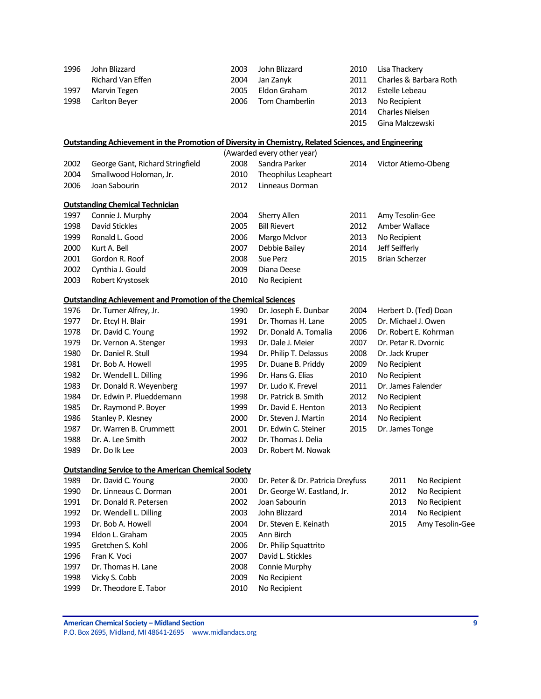| 1996 | John Blizzard                                                                                                | 2003 | John Blizzard                       | 2010 | Lisa Thackery         |                        |
|------|--------------------------------------------------------------------------------------------------------------|------|-------------------------------------|------|-----------------------|------------------------|
|      | Richard Van Effen                                                                                            | 2004 | Jan Zanyk                           | 2011 |                       | Charles & Barbara Roth |
| 1997 | Marvin Tegen                                                                                                 | 2005 | Eldon Graham                        | 2012 | Estelle Lebeau        |                        |
| 1998 | Carlton Beyer                                                                                                | 2006 | Tom Chamberlin                      | 2013 | No Recipient          |                        |
|      |                                                                                                              |      |                                     | 2014 | Charles Nielsen       |                        |
|      |                                                                                                              |      |                                     | 2015 | Gina Malczewski       |                        |
|      | <b>Outstanding Achievement in the Promotion of Diversity in Chemistry, Related Sciences, and Engineering</b> |      |                                     |      |                       |                        |
|      |                                                                                                              |      | (Awarded every other year)          |      |                       |                        |
| 2002 | George Gant, Richard Stringfield                                                                             | 2008 | Sandra Parker                       | 2014 | Victor Atiemo-Obeng   |                        |
| 2004 | Smallwood Holoman, Jr.                                                                                       | 2010 | Theophilus Leapheart                |      |                       |                        |
| 2006 | Joan Sabourin                                                                                                | 2012 | Linneaus Dorman                     |      |                       |                        |
|      | <b>Outstanding Chemical Technician</b>                                                                       |      |                                     |      |                       |                        |
| 1997 | Connie J. Murphy                                                                                             | 2004 | Sherry Allen                        | 2011 | Amy Tesolin-Gee       |                        |
| 1998 | David Stickles                                                                                               | 2005 | <b>Bill Rievert</b>                 | 2012 | Amber Wallace         |                        |
| 1999 | Ronald L. Good                                                                                               | 2006 | Margo McIvor                        | 2013 | No Recipient          |                        |
| 2000 | Kurt A. Bell                                                                                                 | 2007 | Debbie Bailey                       | 2014 | Jeff Seifferly        |                        |
| 2001 | Gordon R. Roof                                                                                               | 2008 | Sue Perz                            | 2015 | <b>Brian Scherzer</b> |                        |
| 2002 | Cynthia J. Gould                                                                                             | 2009 | Diana Deese                         |      |                       |                        |
| 2003 | Robert Krystosek                                                                                             | 2010 | No Recipient                        |      |                       |                        |
|      | <b>Outstanding Achievement and Promotion of the Chemical Sciences</b>                                        |      |                                     |      |                       |                        |
| 1976 | Dr. Turner Alfrey, Jr.                                                                                       | 1990 | Dr. Joseph E. Dunbar                | 2004 |                       | Herbert D. (Ted) Doan  |
| 1977 | Dr. Etcyl H. Blair                                                                                           | 1991 | Dr. Thomas H. Lane                  | 2005 | Dr. Michael J. Owen   |                        |
| 1978 | Dr. David C. Young                                                                                           | 1992 | Dr. Donald A. Tomalia               | 2006 |                       | Dr. Robert E. Kohrman  |
| 1979 | Dr. Vernon A. Stenger                                                                                        | 1993 | Dr. Dale J. Meier                   | 2007 | Dr. Petar R. Dvornic  |                        |
| 1980 | Dr. Daniel R. Stull                                                                                          | 1994 | Dr. Philip T. Delassus              | 2008 | Dr. Jack Kruper       |                        |
| 1981 | Dr. Bob A. Howell                                                                                            | 1995 | Dr. Duane B. Priddy                 | 2009 | No Recipient          |                        |
| 1982 | Dr. Wendell L. Dilling                                                                                       | 1996 | Dr. Hans G. Elias                   | 2010 | No Recipient          |                        |
| 1983 | Dr. Donald R. Weyenberg                                                                                      | 1997 | Dr. Ludo K. Frevel                  | 2011 | Dr. James Falender    |                        |
| 1984 | Dr. Edwin P. Plueddemann                                                                                     | 1998 | Dr. Patrick B. Smith                | 2012 | No Recipient          |                        |
| 1985 | Dr. Raymond P. Boyer                                                                                         | 1999 | Dr. David E. Henton                 | 2013 | No Recipient          |                        |
| 1986 | Stanley P. Klesney                                                                                           | 2000 | Dr. Steven J. Martin                | 2014 | No Recipient          |                        |
| 1987 | Dr. Warren B. Crummett                                                                                       | 2001 | Dr. Edwin C. Steiner                | 2015 | Dr. James Tonge       |                        |
| 1988 | Dr. A. Lee Smith                                                                                             | 2002 | Dr. Thomas J. Delia                 |      |                       |                        |
| 1989 | Dr. Do Ik Lee                                                                                                | 2003 | Dr. Robert M. Nowak                 |      |                       |                        |
|      | <b>Outstanding Service to the American Chemical Society</b>                                                  |      |                                     |      |                       |                        |
| 1989 | Dr. David C. Young                                                                                           | 2000 | Dr. Peter & Dr. Patricia Dreyfuss   |      | 2011                  | No Recipient           |
| 1990 | Dr. Linneaus C. Dorman                                                                                       | 2001 | 2012<br>Dr. George W. Eastland, Jr. |      | No Recipient          |                        |
| 1991 | Dr. Donald R. Petersen                                                                                       | 2002 | Joan Sabourin                       |      | 2013                  | No Recipient           |
| 1992 | Dr. Wendell L. Dilling                                                                                       | 2003 | John Blizzard<br>2014               |      | No Recipient          |                        |
| 1993 | Dr. Bob A. Howell                                                                                            | 2004 | Dr. Steven E. Keinath               |      | 2015                  | Amy Tesolin-Gee        |
| 1994 | Eldon L. Graham                                                                                              | 2005 | Ann Birch                           |      |                       |                        |
| 1995 | Gretchen S. Kohl                                                                                             | 2006 | Dr. Philip Squattrito               |      |                       |                        |
| 1996 | Fran K. Voci                                                                                                 | 2007 | David L. Stickles                   |      |                       |                        |
| 1997 | Dr. Thomas H. Lane                                                                                           | 2008 | Connie Murphy                       |      |                       |                        |
| 1998 | Vicky S. Cobb                                                                                                | 2009 | No Recipient                        |      |                       |                        |
| 1999 | Dr. Theodore E. Tabor                                                                                        | 2010 | No Recipient                        |      |                       |                        |

**American Chemical Society – Midland Section 9** P.O. Box 2695, Midland, MI 48641-2695 www.midlandacs.org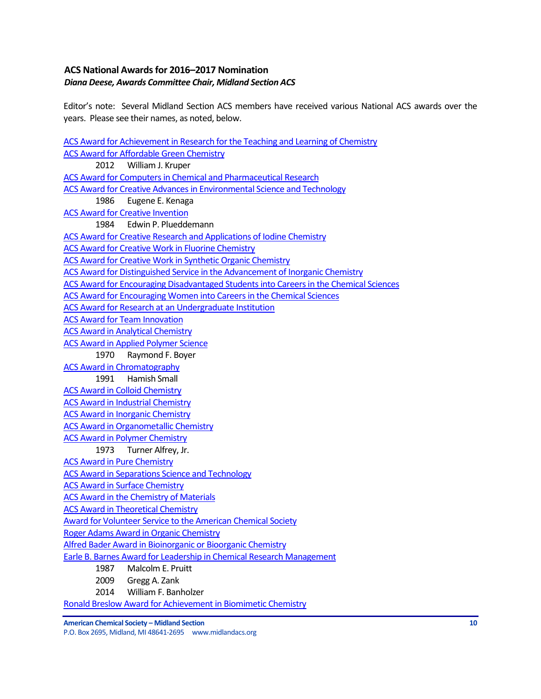# <span id="page-9-0"></span>**ACS National Awardsfor 2016–2017 Nomination** *Diana Deese, Awards Committee Chair, Midland Section ACS*

Editor's note: Several Midland Section ACS members have received various National ACS awards over the years. Please see their names, as noted, below.

[ACS Award for Achievement in Research for the Teaching and Learning of Chemistry](http://www.acs.org/content/acs/en/funding-and-awards/awards/national/bytopic/acs-award-for-achievement-in-research-for-the-teaching-and-learning-of-chemistry.html) [ACS Award for Affordable Green Chemistry](http://www.acs.org/content/acs/en/funding-and-awards/awards/national/bytopic/acs-award-for-affordable-green-chemistry.html) 2012 William J. Kruper [ACS Award for Computers in Chemical and Pharmaceutical Research](http://www.acs.org/content/acs/en/funding-and-awards/awards/national/bytopic/acs-award-for-computers-in-chemical-and-pharmaceutical-research.html) [ACS Award for Creative Advances in Environmental Science and Technology](http://www.acs.org/content/acs/en/funding-and-awards/awards/national/bytopic/acs-award-for-creative-advances-in-environmental-science-and-technology.html) 1986 Eugene E. Kenaga [ACS Award for Creative Invention](http://www.acs.org/content/acs/en/funding-and-awards/awards/national/bytopic/acs-award-for-creative-invention.html) 1984 Edwin P. Plueddemann [ACS Award for Creative Research and Applications of Iodine Chemistry](http://www.acs.org/content/acs/en/funding-and-awards/awards/national/bytopic/acs-award-for-creative-research-and-applications-of-iodine-chemistry.html) [ACS Award for Creative Work in Fluorine Chemistry](http://www.acs.org/content/acs/en/funding-and-awards/awards/national/bytopic/acs-award-for-creative-work-in-fluorine-chemistry.html) [ACS Award for Creative Work in Synthetic Organic Chemistry](http://www.acs.org/content/acs/en/funding-and-awards/awards/national/bytopic/acs-award-for-creative-work-in-synthetic-organic-chemistry.html) [ACS Award for Distinguished Service in the Advancement of Inorganic Chemistry](http://www.acs.org/content/acs/en/funding-and-awards/awards/national/bytopic/acs-award-for-distinguished-service-in-the-advancement-of-lnorganic-chemistry.html) [ACS Award for Encouraging Disadvantaged Students into Careers in the Chemical Sciences](http://www.acs.org/content/acs/en/funding-and-awards/awards/national/bytopic/acs-award-for-encouraging-disadvantaged-students-into-careers-in-the-chemical-sciences.html) [ACS Award for Encouraging Women into Careers in the Chemical Sciences](http://www.acs.org/content/acs/en/funding-and-awards/awards/national/bytopic/acs-award-for-encouraging-women-into-careers-in-the-chemical-sciences.html) [ACS Award for Research at an Undergraduate Institution](http://www.acs.org/content/acs/en/funding-and-awards/awards/national/bytopic/acs-award-for-research-at-an-undergraduate-institution.html) [ACS Award for Team Innovation](http://www.acs.org/content/acs/en/funding-and-awards/awards/national/bytopic/acs-award-for-team-innovation.html) [ACS Award in Analytical Chemistry](http://www.acs.org/content/acs/en/funding-and-awards/awards/national/bytopic/acs-award-in-analytical-chemistry.html) **[ACS Award in Applied Polymer Science](http://www.acs.org/content/acs/en/funding-and-awards/awards/national/bytopic/acs-award-in-applied-polymer-science.html)** 1970 Raymond F. Boyer [ACS Award in Chromatography](http://www.acs.org/content/acs/en/funding-and-awards/awards/national/bytopic/acs-award-in-chromatography.html) 1991 Hamish Small [ACS Award in Colloid Chemistry](http://www.acs.org/content/acs/en/funding-and-awards/awards/national/bytopic/acs-award-in-colloid-chemistry.html) [ACS Award in Industrial Chemistry](http://www.acs.org/content/acs/en/funding-and-awards/awards/national/bytopic/acs-award-in-industrial-chemistry.html) [ACS Award in Inorganic Chemistry](http://www.acs.org/content/acs/en/funding-and-awards/awards/national/bytopic/acs-award-in-inorganic-chemistry.html) [ACS Award in Organometallic Chemistry](http://www.acs.org/content/acs/en/funding-and-awards/awards/national/bytopic/acs-award-in-organometallic-chemistry.html) [ACS Award in Polymer Chemistry](http://www.acs.org/content/acs/en/funding-and-awards/awards/national/bytopic/acs-award-in-polymer-chemistry.html) 1973 Turner Alfrey, Jr. [ACS Award in Pure Chemistry](http://www.acs.org/content/acs/en/funding-and-awards/awards/national/bytopic/acs-award-in-pure-chemistry.html) [ACS Award in Separations Science and Technology](http://www.acs.org/content/acs/en/funding-and-awards/awards/national/bytopic/acs-award-in-separations-science-and-technology.html) [ACS Award in Surface Chemistry](http://www.acs.org/content/acs/en/funding-and-awards/awards/national/bytopic/acs-award-in-surface-chemistry.html) [ACS Award in the Chemistry of Materials](http://www.acs.org/content/acs/en/funding-and-awards/awards/national/bytopic/acs-award-in-the-chemistry-of-materials.html) [ACS Award in Theoretical Chemistry](http://www.acs.org/content/acs/en/funding-and-awards/awards/national/bytopic/acs-award-in-theoretical-chemistry.html) [Award for Volunteer Service to the American Chemical Society](http://www.acs.org/content/acs/en/funding-and-awards/awards/national/bytopic/award-for-volunteer-service-to-the-american-chemical-society.html) [Roger Adams Award in Organic Chemistry](http://www.acs.org/content/acs/en/funding-and-awards/awards/national/bytopic/roger-adams-award-in-organic-chemistry.html) [Alfred Bader Award in Bioinorganic or Bioorganic Chemistry](http://www.acs.org/content/acs/en/funding-and-awards/awards/national/bytopic/alfred-bader-award-in-bioinorganic-or-bioorganic-chemistry.html) [Earle B. Barnes Award for Leadership in Chemical Research Management](http://www.acs.org/content/acs/en/funding-and-awards/awards/national/bytopic/earle-b-barnes-award-for-leadership-in-chemical-research-management.html) 1987 Malcolm E. Pruitt 2009 Gregg A. Zank 2014 William F. Banholzer [Ronald Breslow Award for Achievement in Biomimetic Chemistry](http://www.acs.org/content/acs/en/funding-and-awards/awards/national/bytopic/ronald-breslow-award-for-achievement-in-biomimetic-chemistry.html)

**American Chemical Society – Midland Section 10**

P.O. Box 2695, Midland, MI 48641-2695 www.midlandacs.org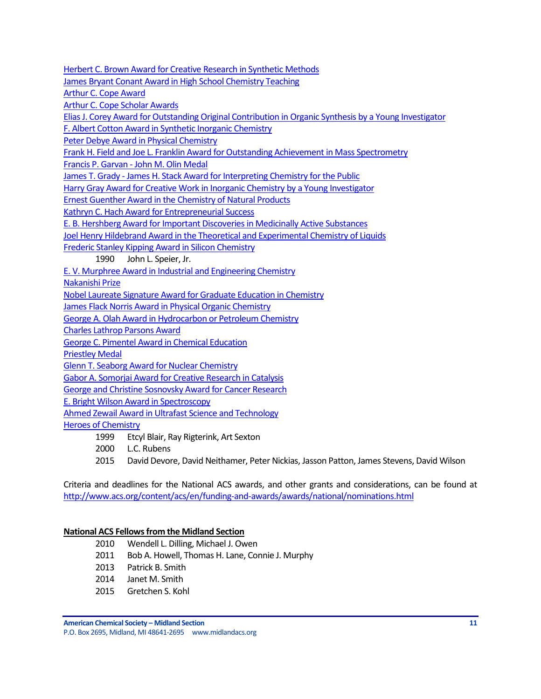[Herbert C. Brown Award for Creative Research in Synthetic Methods](http://www.acs.org/content/acs/en/funding-and-awards/awards/national/bytopic/herbert-c-brown-award-for-creative-research-in-synthetic-methods.html)

[James Bryant Conant Award in High School Chemistry Teaching](http://www.acs.org/content/acs/en/funding-and-awards/awards/national/bytopic/james-bryant-conant-award-in-high-school-chemistry-teaching.html)

[Arthur C. Cope Award](http://www.acs.org/content/acs/en/funding-and-awards/awards/national/bytopic/arthur-c-cope-award.html)

[Arthur C. Cope Scholar Awards](http://www.acs.org/content/acs/en/funding-and-awards/awards/national/bytopic/arthur-c-cope-scholar-awards.html)

[Elias J. Corey Award for Outstanding Original Contribution in Organic Synthesis by a Young Investigator](http://www.acs.org/content/acs/en/funding-and-awards/awards/national/bytopic/elias-j-corey-award-for-outstanding-original-contribution-in-organic-synthesis-by-a-young-investigator.html)

[F. Albert Cotton Award in Synthetic Inorganic Chemistry](http://www.acs.org/content/acs/en/funding-and-awards/awards/national/bytopic/f-albert-cotton-award-in-synthetic-inorganic-chemistry.html)

[Peter Debye Award in Physical Chemistry](http://www.acs.org/content/acs/en/funding-and-awards/awards/national/bytopic/peter-debye-award-in-physical-chemistry.html)

[Frank H. Field and Joe L. Franklin Award for Outstanding Achievement in Mass Spectrometry](http://www.acs.org/content/acs/en/funding-and-awards/awards/national/bytopic/frank-h-field-and-joe-l-franklin-award-for-outstanding-achievement-in-mass-spectrometry.html)

Francis P. Garvan - [John M. Olin Medal](http://www.acs.org/content/acs/en/funding-and-awards/awards/national/bytopic/francis-p-garvan-john-m-olin-medal.html)

James T. Grady - [James H. Stack Award for Interpreting Chemistry for the Public](http://www.acs.org/content/acs/en/funding-and-awards/awards/national/bytopic/james-t-grady-james-h-stack-award-for-interpreting-chemistry-for-the-public.html)

[Harry Gray Award for Creative Work in Inorganic Chemistry by a Young Investigator](http://www.acs.org/content/acs/en/funding-and-awards/awards/national/bytopic/harry-gray-award-for-creative-work-in-inorganic-chemistry-by-a-y.html)

[Ernest Guenther Award in the Chemistry of Natural Products](http://www.acs.org/content/acs/en/funding-and-awards/awards/national/bytopic/ernest-guenther-award-in-the-chemistry-of-natural-products.html)

[Kathryn C. Hach Award for Entrepreneurial Success](http://www.acs.org/content/acs/en/funding-and-awards/awards/national/bytopic/entrepreneurial-success.html)

[E. B. Hershberg Award for Important Discoveries in Medicinally Active Substances](http://www.acs.org/content/acs/en/funding-and-awards/awards/national/bytopic/e-b-hershberg-award-for-important-discoveries-in-medicinally-active-substances.html)

[Joel Henry Hildebrand Award in the Theoretical and Experimental Chemistry of Liquids](http://www.acs.org/content/acs/en/funding-and-awards/awards/national/bytopic/joel-henry-hildebrand-award-in-the-theoretical-and-experimental-chemistry-of-liquids.html)

[Frederic Stanley Kipping Award in Silicon Chemistry](http://www.acs.org/content/acs/en/funding-and-awards/awards/national/bytopic/frederic-stanley-kipping-award-in-silicon-chemistry.html)

1990 John L. Speier, Jr.

[E. V. Murphree Award in Industrial and Engineering Chemistry](http://www.acs.org/content/acs/en/funding-and-awards/awards/national/bytopic/e-v-murphree-award-in-industrial-and-engineering-chemistry.html)

[Nakanishi Prize](http://www.acs.org/content/acs/en/funding-and-awards/awards/national/bytopic/nakanishi-prize.html)

[Nobel Laureate Signature Award for Graduate Education in Chemistry](http://www.acs.org/content/acs/en/funding-and-awards/awards/national/bytopic/nobel-laureate-signature-award-for-graduate-education-in-chemistry.html)

[James Flack Norris Award in Physical Organic Chemistry](http://www.acs.org/content/acs/en/funding-and-awards/awards/national/bytopic/james-flack-norris-award-in-physical-organic-chemistry.html)

[George A. Olah Award in Hydrocarbon or Petroleum Chemistry](http://www.acs.org/content/acs/en/funding-and-awards/awards/national/bytopic/george-a-olah-award-in-hydrocarbon-or-petroleum-chemistry.html)

[Charles Lathrop Parsons Award](http://www.acs.org/content/acs/en/funding-and-awards/awards/national/bytopic/charles-lathrop-parsons-award.html)

[George C. Pimentel Award in Chemical Education](http://www.acs.org/content/acs/en/funding-and-awards/awards/national/bytopic/george-c-pimentel-award-in-chemical-education.html)

[Priestley Medal](http://www.acs.org/content/acs/en/funding-and-awards/awards/national/bytopic/priestley-medal.html)

[Glenn T. Seaborg Award for Nuclear Chemistry](http://www.acs.org/content/acs/en/funding-and-awards/awards/national/bytopic/glenn-t-seaborg-award-for-nuclear-chemistry.html)

[Gabor A. Somorjai Award for Creative Research in Catalysis](http://www.acs.org/content/acs/en/funding-and-awards/awards/national/bytopic/gabor-a-somorjai-award-for-creative-research-in-catalysis.html)

[George and Christine Sosnovsky Award for Cancer Research](http://www.acs.org/content/acs/en/funding-and-awards/awards/national/bytopic/the-george-and-christine-sosnovsky-award-for-cancer-research.html)

[E. Bright Wilson Award in Spectroscopy](http://www.acs.org/content/acs/en/funding-and-awards/awards/national/bytopic/e-bright-wilson-award-in-spectroscopy.html)

[Ahmed Zewail Award in Ultrafast Science and Technology](http://www.acs.org/content/acs/en/funding-and-awards/awards/national/bytopic/the-ahmed-zewail-award-in-ultrafast-science-and-technology.html)

[Heroes of Chemistry](http://www.acs.org/content/acs/en/funding-and-awards/awards/industry/heroes.html)

- 1999 Etcyl Blair, Ray Rigterink, Art Sexton
- 2000 L.C. Rubens

2015 David Devore, David Neithamer, Peter Nickias, Jasson Patton, James Stevens, David Wilson

Criteria and deadlines for the National ACS awards, and other grants and considerations, can be found at <http://www.acs.org/content/acs/en/funding-and-awards/awards/national/nominations.html>

### **National ACS Fellows from the Midland Section**

- 2010 Wendell L. Dilling, Michael J. Owen
- 2011 Bob A. Howell, Thomas H. Lane, Connie J. Murphy
- 2013 Patrick B. Smith
- 2014 Janet M. Smith
- 2015 Gretchen S. Kohl

**American Chemical Society – Midland Section 11** P.O. Box 2695, Midland, MI 48641-2695 www.midlandacs.org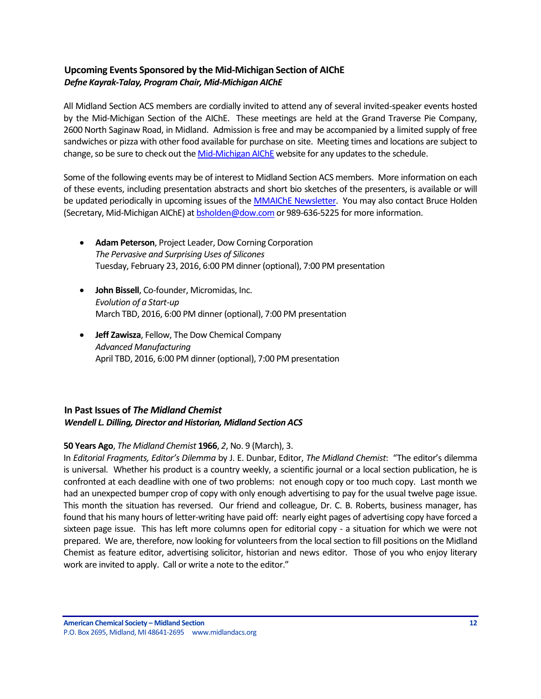# <span id="page-11-0"></span>**Upcoming Events Sponsored by the Mid-Michigan Section of AIChE** *Defne Kayrak-Talay, Program Chair, Mid-Michigan AIChE*

All Midland Section ACS members are cordially invited to attend any of several invited-speaker events hosted by the Mid-Michigan Section of the AIChE. These meetings are held at the Grand Traverse Pie Company, 2600 North Saginaw Road, in Midland. Admission is free and may be accompanied by a limited supply of free sandwiches or pizza with other food available for purchase on site. Meeting times and locations are subject to change, so be sure to check out the [Mid-Michigan AIChE](http://www.aiche.org/community/sites/local-sections/mid-michigan) website for any updates to the schedule.

Some of the following events may be of interest to Midland Section ACS members. More information on each of these events, including presentation abstracts and short bio sketches of the presenters, is available or will be updated periodically in upcoming issues of the [MMAIChE Newsletter.](http://www.aiche.org/community/sites/local-sections/mid-michigan/newsletters) You may also contact Bruce Holden (Secretary, Mid-Michigan AIChE) a[t bsholden@dow.com](mailto:bsholden@dow.com) or 989-636-5225 for more information.

- **Adam Peterson**, Project Leader, Dow Corning Corporation *The Pervasive and Surprising Uses of Silicones* Tuesday, February 23, 2016, 6:00 PM dinner (optional), 7:00 PM presentation
- **John Bissell**, Co-founder, Micromidas, Inc. *Evolution of a Start-up* March TBD, 2016, 6:00 PM dinner (optional), 7:00 PM presentation
- **Jeff Zawisza**, Fellow, The Dow Chemical Company *Advanced Manufacturing* April TBD, 2016, 6:00 PM dinner (optional), 7:00 PM presentation

# <span id="page-11-1"></span>**In Past Issues of** *The Midland Chemist Wendell L. Dilling, Director and Historian, Midland Section ACS*

### **50 Years Ago**, *The Midland Chemist* **1966**, *2*, No. 9 (March), 3.

In *Editorial Fragments, Editor's Dilemma* by J. E. Dunbar, Editor, *The Midland Chemist*: "The editor's dilemma is universal. Whether his product is a country weekly, a scientific journal or a local section publication, he is confronted at each deadline with one of two problems: not enough copy or too much copy. Last month we had an unexpected bumper crop of copy with only enough advertising to pay for the usual twelve page issue. This month the situation has reversed. Our friend and colleague, Dr. C. B. Roberts, business manager, has found that his many hours of letter-writing have paid off: nearly eight pages of advertising copy have forced a sixteen page issue. This has left more columns open for editorial copy - a situation for which we were not prepared. We are, therefore, now looking for volunteers from the local section to fill positions on the Midland Chemist as feature editor, advertising solicitor, historian and news editor. Those of you who enjoy literary work are invited to apply. Call or write a note to the editor."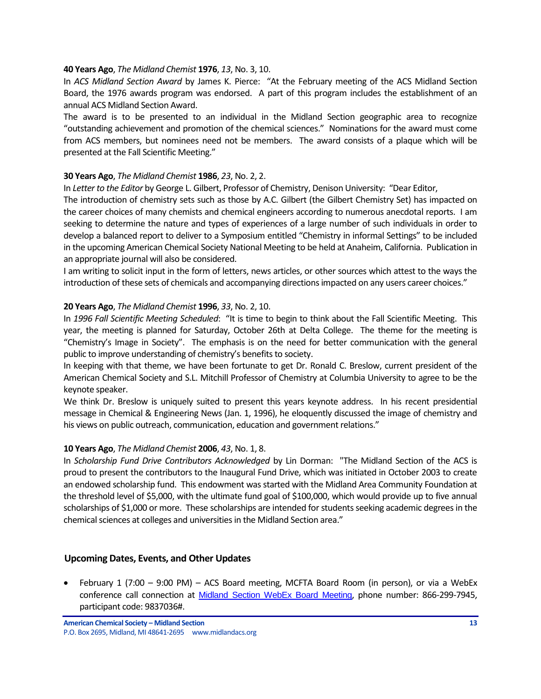### **40 Years Ago**, *The Midland Chemist* **1976**, *13*, No. 3, 10.

In *ACS Midland Section Award* by James K. Pierce: "At the February meeting of the ACS Midland Section Board, the 1976 awards program was endorsed. A part of this program includes the establishment of an annual ACS Midland Section Award.

The award is to be presented to an individual in the Midland Section geographic area to recognize "outstanding achievement and promotion of the chemical sciences." Nominations for the award must come from ACS members, but nominees need not be members. The award consists of a plaque which will be presented at the Fall Scientific Meeting."

### **30 Years Ago**, *The Midland Chemist* **1986**, *23*, No. 2, 2.

In *Letter to the Editor* by George L. Gilbert, Professor of Chemistry, Denison University: "Dear Editor,

The introduction of chemistry sets such as those by A.C. Gilbert (the Gilbert Chemistry Set) has impacted on the career choices of many chemists and chemical engineers according to numerous anecdotal reports. I am seeking to determine the nature and types of experiences of a large number of such individuals in order to develop a balanced report to deliver to a Symposium entitled "Chemistry in informal Settings" to be included in the upcoming American Chemical Society National Meeting to be held at Anaheim, California. Publication in an appropriate journal will also be considered.

I am writing to solicit input in the form of letters, news articles, or other sources which attest to the ways the introduction of these sets of chemicals and accompanying directions impacted on any users career choices."

### **20 Years Ago**, *The Midland Chemist* **1996**, *33*, No. 2, 10.

In *1996 Fall Scientific Meeting Scheduled*: "It is time to begin to think about the Fall Scientific Meeting. This year, the meeting is planned for Saturday, October 26th at Delta College. The theme for the meeting is "Chemistry's Image in Society". The emphasis is on the need for better communication with the general public to improve understanding of chemistry's benefits to society.

In keeping with that theme, we have been fortunate to get Dr. Ronald C. Breslow, current president of the American Chemical Society and S.L. Mitchill Professor of Chemistry at Columbia University to agree to be the keynote speaker.

We think Dr. Breslow is uniquely suited to present this years keynote address. In his recent presidential message in Chemical & Engineering News (Jan. 1, 1996), he eloquently discussed the image of chemistry and his views on public outreach, communication, education and government relations."

### **10 Years Ago**, *The Midland Chemist* **2006**, *43*, No. 1, 8.

In *Scholarship Fund Drive Contributors Acknowledged* by Lin Dorman: "The Midland Section of the ACS is proud to present the contributors to the Inaugural Fund Drive, which was initiated in October 2003 to create an endowed scholarship fund. This endowment was started with the Midland Area Community Foundation at the threshold level of \$5,000, with the ultimate fund goal of \$100,000, which would provide up to five annual scholarships of \$1,000 or more. These scholarships are intended forstudents seeking academic degrees in the chemical sciences at colleges and universities in the Midland Section area."

### <span id="page-12-0"></span>**Upcoming Dates, Events, and Other Updates**

 February 1 (7:00 – 9:00 PM) – ACS Board meeting, MCFTA Board Room (in person), or via a WebEx conference call connection at [Midland Section WebEx Board Meeting](https://meetings.webex.com/collabs/meetings/join?uuid=MDUIF3K1F2PHUAY4ZKRYDP7EXH-MIS), phone number: 866-299-7945, participant code: 9837036#.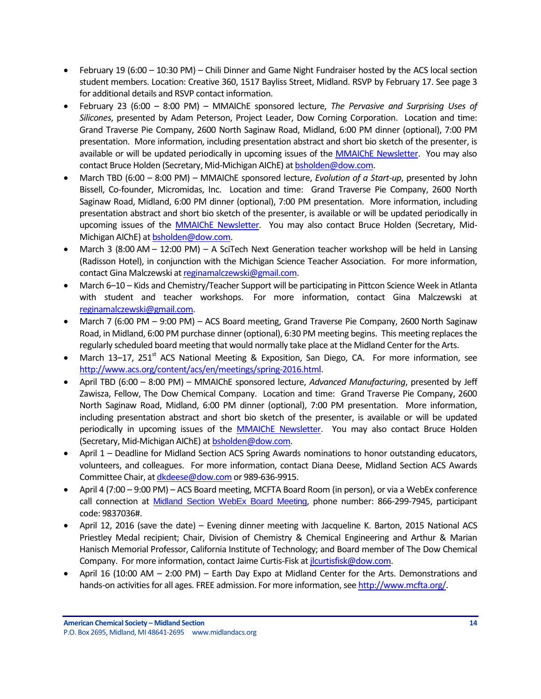- February 19 (6:00 10:30 PM) Chili Dinner and Game Night Fundraiser hosted by the ACS local section student members. Location: Creative 360, 1517 Bayliss Street, Midland. RSVP by February 17. See page 3 for additional details and RSVP contact information.
- February 23 (6:00 8:00 PM) MMAIChE sponsored lecture, *The Pervasive and Surprising Uses of Silicones*, presented by Adam Peterson, Project Leader, Dow Corning Corporation. Location and time: Grand Traverse Pie Company, 2600 North Saginaw Road, Midland, 6:00 PM dinner (optional), 7:00 PM presentation. More information, including presentation abstract and short bio sketch of the presenter, is available or will be updated periodically in upcoming issues of the [MMAIChE Newsletter.](http://www.aiche.org/community/sites/local-sections/mid-michigan/newsletters) You may also contact Bruce Holden (Secretary, Mid-Michigan AIChE) at [bsholden@dow.com.](mailto:bsholden@dow.com)
- March TBD (6:00 8:00 PM) MMAIChE sponsored lecture, *Evolution of a Start-up*, presented by John Bissell, Co-founder, Micromidas, Inc. Location and time: Grand Traverse Pie Company, 2600 North Saginaw Road, Midland, 6:00 PM dinner (optional), 7:00 PM presentation. More information, including presentation abstract and short bio sketch of the presenter, is available or will be updated periodically in upcoming issues of the [MMAIChE Newsletter.](http://www.aiche.org/community/sites/local-sections/mid-michigan/newsletters) You may also contact Bruce Holden (Secretary, Mid-Michigan AIChE) a[t bsholden@dow.com.](mailto:bsholden@dow.com)
- March 3 (8:00 AM 12:00 PM) A SciTech Next Generation teacher workshop will be held in Lansing (Radisson Hotel), in conjunction with the Michigan Science Teacher Association. For more information, contact Gina Malczewski a[t reginamalczewski@gmail.com.](mailto:reginamalczewski@gmail.com)
- March 6–10 Kids and Chemistry/Teacher Support will be participating in Pittcon Science Week in Atlanta with student and teacher workshops. For more information, contact Gina Malczewski at [reginamalczewski@gmail.com.](mailto:reginamalczewski@gmail.com)
- March 7 (6:00 PM 9:00 PM) ACS Board meeting, Grand Traverse Pie Company, 2600 North Saginaw Road, in Midland, 6:00 PM purchase dinner (optional), 6:30 PM meeting begins. This meeting replaces the regularly scheduled board meeting that would normally take place at the Midland Center for the Arts.
- March 13–17, 251<sup>st</sup> ACS National Meeting & Exposition, San Diego, CA. For more information, see [http://www.acs.org/content/acs/en/meetings/spring-2016.html.](http://www.acs.org/content/acs/en/meetings/spring-2016.html)
- April TBD (6:00 8:00 PM) MMAIChE sponsored lecture, *Advanced Manufacturing*, presented by Jeff Zawisza, Fellow, The Dow Chemical Company. Location and time: Grand Traverse Pie Company, 2600 North Saginaw Road, Midland, 6:00 PM dinner (optional), 7:00 PM presentation. More information, including presentation abstract and short bio sketch of the presenter, is available or will be updated periodically in upcoming issues of the [MMAIChE Newsletter.](http://www.aiche.org/community/sites/local-sections/mid-michigan/newsletters) You may also contact Bruce Holden (Secretary, Mid-Michigan AIChE) a[t bsholden@dow.com.](mailto:bsholden@dow.com)
- April 1 Deadline for Midland Section ACS Spring Awards nominations to honor outstanding educators, volunteers, and colleagues. For more information, contact Diana Deese, Midland Section ACS Awards Committee Chair, a[t dkdeese@dow.com](mailto:dkdeese@dow.com) or 989-636-9915.
- April 4 (7:00 9:00 PM) ACS Board meeting, MCFTA Board Room (in person), or via a WebEx conference call connection at [Midland Section WebEx Board Meeting](https://meetings.webex.com/collabs/meetings/join?uuid=MDUIF3K1F2PHUAY4ZKRYDP7EXH-MIS), phone number: 866-299-7945, participant code: 9837036#.
- April 12, 2016 (save the date) Evening dinner meeting with Jacqueline K. Barton, 2015 National ACS Priestley Medal recipient; Chair, Division of Chemistry & Chemical Engineering and Arthur & Marian Hanisch Memorial Professor, California Institute of Technology; and Board member of The Dow Chemical Company. For more information, contact Jaime Curtis-Fisk a[t jlcurtisfisk@dow.com.](mailto:jlcurtisfisk@dow.com)
- April 16 (10:00 AM 2:00 PM) Earth Day Expo at Midland Center for the Arts. Demonstrations and hands-on activities for all ages. FREE admission. For more information, se[e http://www.mcfta.org/.](http://www.mcfta.org/)